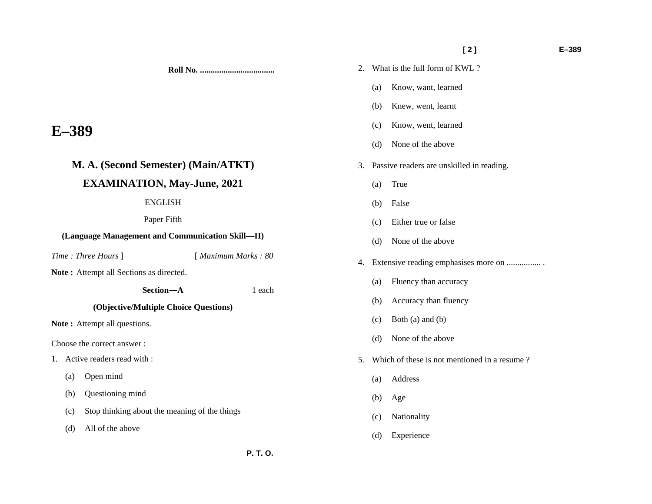**Roll No. ...................................** 

## **E–389**

# **M. A. (Second Semester) (Main/ATKT) EXAMINATION, May-June, 2021**

### ENGLISH

Paper Fifth

### **(Language Management and Communication Skill—II)**

*Time : Three Hours* ] [ *Maximum Marks : 80* 

 **Section—A** 1 each

**Note :** Attempt all Sections as directed.

**(Objective/Multiple Choice Questions)** 

Note: Attempt all questions.

Choose the correct answer :

- 1. Active readers read with :
	- (a) Open mind
	- (b) Questioning mind
	- (c) Stop thinking about the meaning of the things
	- (d) All of the above

## **[ 2 ] E–389**

- 2. What is the full form of KWL ?
	- (a) Know, want, learned
	- (b) Knew, went, learnt
	- (c) Know, went, learned
	- (d) None of the above
- 3. Passive readers are unskilled in reading.
	- (a) True
	- (b) False
	- (c) Either true or false
	- (d) None of the above
- 4. Extensive reading emphasises more on ................ .
	- (a) Fluency than accuracy
	- (b) Accuracy than fluency
	- (c) Both (a) and (b)
	- (d) None of the above
- 5. Which of these is not mentioned in a resume ?
	- (a) Address
	- (b) Age
	- (c) Nationality
	- (d) Experience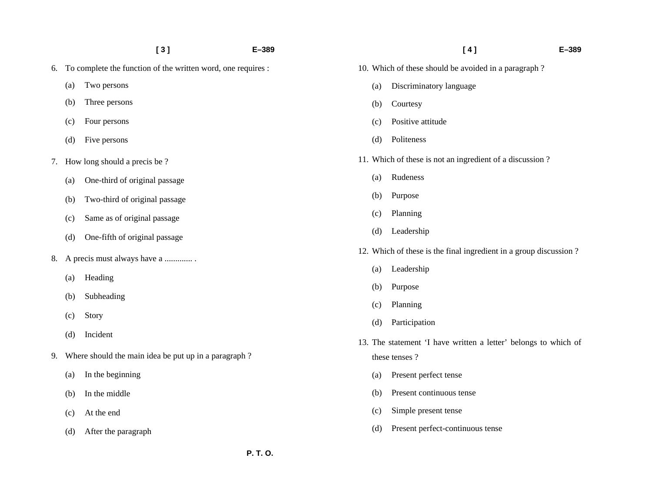|    |                                                              | [3]                                                  | $E - 389$ |                                                                 | [4]                                                               | $E - 389$ |
|----|--------------------------------------------------------------|------------------------------------------------------|-----------|-----------------------------------------------------------------|-------------------------------------------------------------------|-----------|
| 6. | To complete the function of the written word, one requires : |                                                      |           |                                                                 | 10. Which of these should be avoided in a paragraph?              |           |
|    | (a)                                                          | Two persons                                          |           | (a)                                                             | Discriminatory language                                           |           |
|    | (b)                                                          | Three persons                                        |           | (b)                                                             | Courtesy                                                          |           |
|    | (c)                                                          | Four persons                                         |           | (c)                                                             | Positive attitude                                                 |           |
|    | (d)                                                          | Five persons                                         |           | (d)                                                             | Politeness                                                        |           |
| 7. |                                                              | How long should a precis be?                         |           |                                                                 | 11. Which of these is not an ingredient of a discussion?          |           |
|    | (a)                                                          | One-third of original passage                        |           | (a)                                                             | Rudeness                                                          |           |
|    | (b)                                                          | Two-third of original passage                        |           | (b)                                                             | Purpose                                                           |           |
|    | (c)                                                          | Same as of original passage                          |           | (c)                                                             | Planning                                                          |           |
|    | (d)                                                          | One-fifth of original passage                        |           | (d)                                                             | Leadership                                                        |           |
| 8. |                                                              | A precis must always have a                          |           |                                                                 | 12. Which of these is the final ingredient in a group discussion? |           |
|    | (a)<br>(b)                                                   | Heading<br>Subheading                                |           | (a)                                                             | Leadership                                                        |           |
|    |                                                              |                                                      |           | (b)                                                             | Purpose                                                           |           |
|    |                                                              |                                                      |           | (c)                                                             | Planning                                                          |           |
|    | (c)                                                          | Story                                                |           | (d)                                                             | Participation                                                     |           |
|    | (d)                                                          | Incident                                             |           | 13. The statement 'I have written a letter' belongs to which of |                                                                   |           |
| 9. |                                                              | Where should the main idea be put up in a paragraph? |           |                                                                 | these tenses?                                                     |           |
|    | (a)                                                          | In the beginning                                     |           | (a)                                                             | Present perfect tense                                             |           |
|    | (b)                                                          | In the middle                                        |           | (b)                                                             | Present continuous tense                                          |           |
|    | (c)                                                          | At the end                                           |           | (c)                                                             | Simple present tense                                              |           |
|    | (d)                                                          | After the paragraph                                  |           | (d)                                                             | Present perfect-continuous tense                                  |           |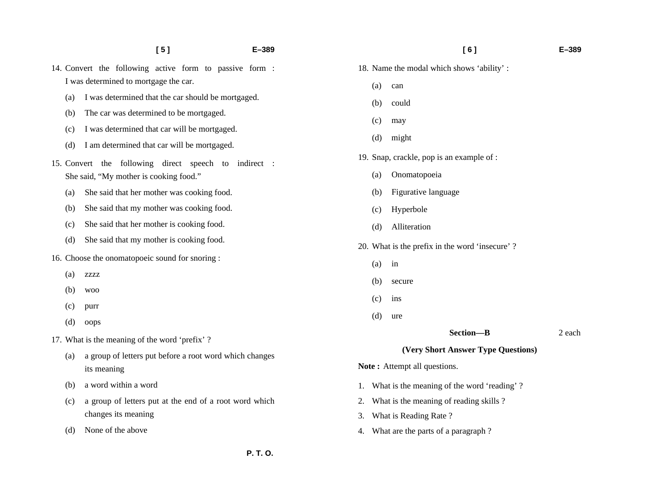- 
- **[ 5 ] E–389**
- 14. Convert the following active form to passive form : I was determined to mortgage the car.
	- (a) I was determined that the car should be mortgaged.
	- (b) The car was determined to be mortgaged.
	- (c) I was determined that car will be mortgaged.
	- (d) I am determined that car will be mortgaged.
- 15. Convert the following direct speech to indirect : She said, "My mother is cooking food."
	- (a) She said that her mother was cooking food.
	- (b) She said that my mother was cooking food.
	- (c) She said that her mother is cooking food.
	- (d) She said that my mother is cooking food.
- 16. Choose the onomatopoeic sound for snoring :
	- (a) zzzz
	- (b) woo
	- (c) purr
	- (d) oops
- 17. What is the meaning of the word 'prefix' ?
	- (a) a group of letters put before a root word which changes its meaning
	- (b) a word within a word
	- (c) a group of letters put at the end of a root word which changes its meaning
	- (d) None of the above
- 18. Name the modal which shows 'ability' :
	- (a) can
	- (b) could
	- (c) may
	- (d) might
- 19. Snap, crackle, pop is an example of :
	- (a) Onomatopoeia
	- (b) Figurative language
	- (c) Hyperbole
	- (d) Alliteration
- 20. What is the prefix in the word 'insecure' ?
	- (a) in
	- (b) secure
	- (c) ins
	- (d) ure
- Section—B 2 each

#### **(Very Short Answer Type Questions)**

Note: Attempt all questions.

- 1. What is the meaning of the word 'reading' ?
- 2. What is the meaning of reading skills ?
- 3. What is Reading Rate ?
- 4. What are the parts of a paragraph ?